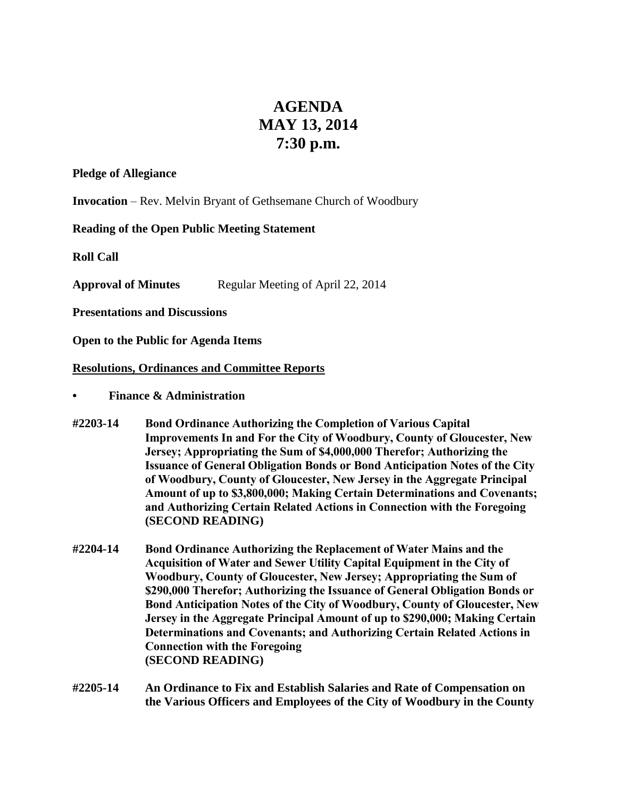## **AGENDA MAY 13, 2014 7:30 p.m.**

## **Pledge of Allegiance**

**Invocation** – Rev. Melvin Bryant of Gethsemane Church of Woodbury

## **Reading of the Open Public Meeting Statement**

**Roll Call**

**Approval of Minutes** Regular Meeting of April 22, 2014

**Presentations and Discussions**

**Open to the Public for Agenda Items**

## **Resolutions, Ordinances and Committee Reports**

- **• Finance & Administration**
- **#2203-14 Bond Ordinance Authorizing the Completion of Various Capital Improvements In and For the City of Woodbury, County of Gloucester, New Jersey; Appropriating the Sum of \$4,000,000 Therefor; Authorizing the Issuance of General Obligation Bonds or Bond Anticipation Notes of the City of Woodbury, County of Gloucester, New Jersey in the Aggregate Principal Amount of up to \$3,800,000; Making Certain Determinations and Covenants; and Authorizing Certain Related Actions in Connection with the Foregoing (SECOND READING)**
- **#2204-14 Bond Ordinance Authorizing the Replacement of Water Mains and the Acquisition of Water and Sewer Utility Capital Equipment in the City of Woodbury, County of Gloucester, New Jersey; Appropriating the Sum of \$290,000 Therefor; Authorizing the Issuance of General Obligation Bonds or Bond Anticipation Notes of the City of Woodbury, County of Gloucester, New Jersey in the Aggregate Principal Amount of up to \$290,000; Making Certain Determinations and Covenants; and Authorizing Certain Related Actions in Connection with the Foregoing (SECOND READING)**
- **#2205-14 An Ordinance to Fix and Establish Salaries and Rate of Compensation on the Various Officers and Employees of the City of Woodbury in the County**